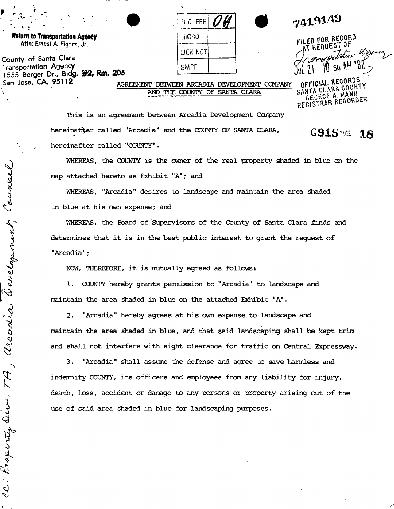| $\mathbf{r}_i$                                                 |                                     | 7419149                                           |
|----------------------------------------------------------------|-------------------------------------|---------------------------------------------------|
| Return to Transportation Agency<br>Attn: Ernest A. Figono, Jr. | <b>BVICRO</b>                       | FILED FOR RECORD<br>AT REQUEST OF                 |
| County of Santa Clara                                          | LIEN NOT                            |                                                   |
| Transportation Agency                                          | <b>SMPF</b>                         | Aromaportation agency                             |
| San Jose, <b>CA. 95112</b><br>AND                              | SANTA CLARA<br>OF.<br>COUNTY<br>THE | OFFICIAL RECORDS<br>COMPANY<br>SANTA CLARA COUNTY |
|                                                                |                                     | GEORGE A. MAHN<br>: 2200RFR                       |

This is an agreement between Arcadia Development Canpany hereinafter called "Arcadia" and the COUNTY OF SANTA CLARA,

hereinafter called "COUNTY".

WHEREAS, the COUNTY is the owner of the real property shaded in blue on the map attached hereto as Exhibit "A"; and

**GS1586 18** 

REC **& R** EOORDER

WHEREAS, "Arcadia" desires to landscape and maintain the area shaded in blue at his cwn expense; and

WHEREAS, the Board of Supervisors of the County of Santa Clara finds and determines that it is in the best public interest to grant the request of "Arcadia":

NOW, THEREFORE, it is mutually agreed as follows:

1. COUNTY hereby grants permission to "Arcadia" to landscape and maintain the area shaded in blue on the attached Exhibit "A".

2. "Arcadia" hereby agrees at his cwn expense to landscape and maintain the area shaded in blue, and that said landscaping shall be kept trim and shall not interfere with sight clearance for traffic on Central Expressway.

3. "Arcadia" shall assume the defense and agree to save harmless and indemnify COUNTY, its officers and employees from any liability for injury, death, loss, accident or damage to any persons or property arising out of the use of said area shaded in blue for landscaping purposes.

Council aevelopment arcadia CC: Property Oir 77

*]* 

Coun<sup>t</sup> **Transportation Agency 1555**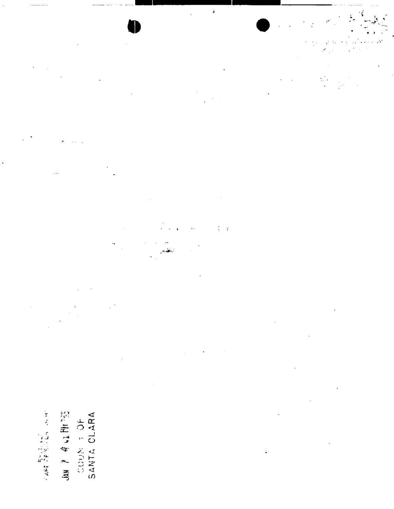JAN P & LE PITES このことは1000年の19年以上によって、その日本の19年の19年の19年の19年の19年以上。

 $\sigma$  ,  $\omega$  ,

 $\frac{1}{2}$ 

 $\label{eq:2} \begin{split} \mathcal{L}_{\text{max}}(\mathcal{L}_{\text{max}}) = \frac{1}{2} \mathcal{L}_{\text{max}}(\mathcal{L}_{\text{max}}) + \frac{1}{2} \mathcal{L}_{\text{max}}(\mathcal{L}_{\text{max}}) \\ \mathcal{L}_{\text{max}}(\mathcal{L}_{\text{max}}) = \frac{1}{2} \mathcal{L}_{\text{max}}(\mathcal{L}_{\text{max}}) + \frac{1}{2} \mathcal{L}_{\text{max}}(\mathcal{L}_{\text{max}}) \end{split}$ 

 $\label{eq:2.1} \frac{1}{\sqrt{2}}\int_{\mathbb{R}^3}\frac{1}{\sqrt{2}}\left(\frac{1}{\sqrt{2}}\int_{\mathbb{R}^3}\frac{1}{\sqrt{2}}\left(\frac{1}{\sqrt{2}}\int_{\mathbb{R}^3}\frac{1}{\sqrt{2}}\left(\frac{1}{\sqrt{2}}\int_{\mathbb{R}^3}\frac{1}{\sqrt{2}}\right)\frac{1}{\sqrt{2}}\right)\frac{1}{\sqrt{2}}\right)=\frac{1}{2}\int_{\mathbb{R}^3}\frac{1}{\sqrt{2}}\int_{\mathbb{R}^3}\frac{1}{\sqrt{2}}\frac{1}{\$  $\frac{1}{2}$  .

 $\frac{1}{2} \sum_{i=1}^n \frac{1}{2} \sum_{j=1}^n \frac{1}{2} \sum_{j=1}^n \frac{1}{2} \sum_{j=1}^n \frac{1}{2} \sum_{j=1}^n \frac{1}{2} \sum_{j=1}^n \frac{1}{2} \sum_{j=1}^n \frac{1}{2} \sum_{j=1}^n \frac{1}{2} \sum_{j=1}^n \frac{1}{2} \sum_{j=1}^n \frac{1}{2} \sum_{j=1}^n \frac{1}{2} \sum_{j=1}^n \frac{1}{2} \sum_{j=1}^n \frac{1}{2} \sum_{j=$ 

 $\label{eq:2.1} \frac{1}{\left(1-\frac{1}{2}\right)}\left(\frac{1}{2}\right)^{\frac{1}{2}}\left(1-\frac{1}{2}\right)^{\frac{1}{2}}\left(1-\frac{1}{2}\right)^{\frac{1}{2}}.$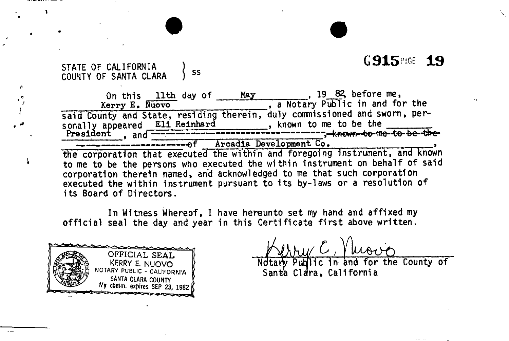# G915 **RGE 19**

### STATE OF CALIFORNIA COUNTY OF SANTA CLARA 5 SS

n.

¥

On this lith day of <u>May</u> Kerry E> Nuovo , 19 82, before me, a Notary Public in and for the said County and State, residing therein, duly commissioned and sworn, per-<br>sonally appeared Eli Reinhard, known to me to be the sonally appeared Eli Reinhard, known to me to be the President 9 and — -be-^e- — —— — —-ef Arcadia Development Co, > the corporation that executed the within and foregoing instrument, and known to me to be the persons who executed the within instrument on behalf of said

corporation therein named, and acknowledged to me that such corporation executed the within instrument pursuant to its by-laws or a resolution of i ts Board of Directors.

In Witness Whereof, I have hereunto set my hand and affixed my official seal the day and year in this Certificate first above written.



Ndtary Public in and for the County of Santa Clara, California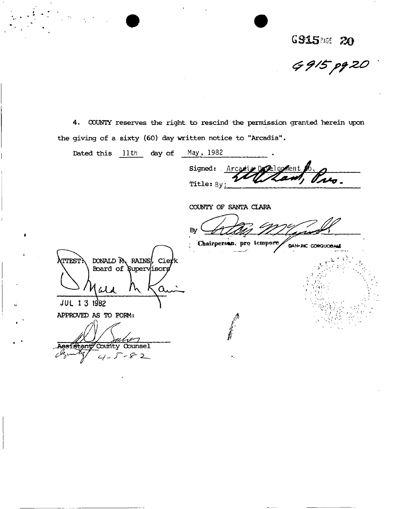6915 20<br>G 915 pg 20

4. COUNTY reserves the right to rescind the permission granted herein upon the giving of a sixty (60) day written notice to "Arcadia".

 $\frac{1}{\sqrt{2}}\frac{1}{\sqrt{2}}\frac{d\phi}{d\phi}$ 

| Dated this lith day of                                                 | May, 1982                         |                   |
|------------------------------------------------------------------------|-----------------------------------|-------------------|
|                                                                        | Arcadize Development 6<br>Signed: |                   |
|                                                                        | Title: By:                        | wo.               |
|                                                                        | COUNTY OF SANTA CLARA             |                   |
|                                                                        | By                                |                   |
|                                                                        | Chairperson, pro tempore          | DAN-MC CORQUOBALE |
| DONALD M RAINS, Clerk<br><b>ATTEST:</b><br>Board of Supervisors<br>ald |                                   |                   |
| JUL 1 3 1982                                                           |                                   |                   |
| APPROVED AS TO FORM:                                                   |                                   |                   |
|                                                                        |                                   |                   |
| Agsistant County Counsel<br>$-82$                                      |                                   |                   |
|                                                                        |                                   |                   |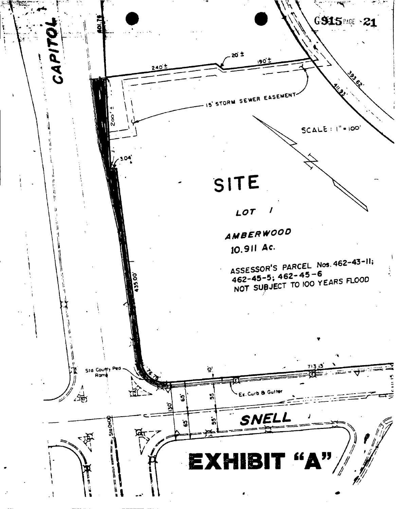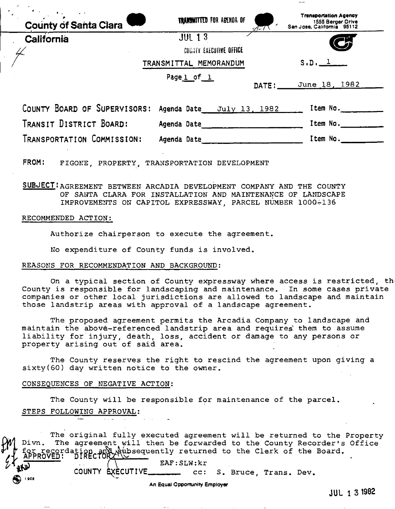| $\bullet$ .<br><b>County of Santa Clara</b> | <b>TRANSMITTED FOR AGENDA OF</b><br>s T−T \ | <b>Transportation Agency</b><br>1555 Berger Orive<br>San Jose, California 95112 |
|---------------------------------------------|---------------------------------------------|---------------------------------------------------------------------------------|
| California                                  | <b>JUL 13</b>                               |                                                                                 |
|                                             | COUNTY EXECUTIVE OFFICE                     | $\mathbf{Z}$                                                                    |
|                                             | TRANSMITTAL MEMORANDUM                      | S.D.                                                                            |
|                                             | Page 1 of 1                                 | June 18, 1982<br>DATE:                                                          |
| COUNTY BOARD OF SUPERVISORS:                | Agenda Date<br>July 13, 1982                | Item No.                                                                        |
| TRANSIT DISTRICT BOARD:                     | Agenda Date                                 | Item No.                                                                        |
| TRANSPORTATION COMMISSION:                  | Adenda Date                                 | Item No.                                                                        |

FROM: FIGONE, PROPERTY, TRANSPORTATION DEVELOPMENT

**SUBJECT: AGREEMENT BETWEEN ARCADIA DEVELOPMENT COMPANY AND THE COUNTY** OF SANTA CLARA FOR INSTALLATION AND MAINTENANCE OF LANDSCAPE IMPROVEMENTS ON CAPITOL EXPRESSWAY, PARCEL NUMBER 1000-136

#### RECOMMENDED ACTION:

Authorize chairperson to execute the agreement.

No expenditure of County funds is involved.

#### REASONS FOR RECOMMENDATION AND BACKGROUND:

On a typical section of County expressway where access is restricted, th County is responsible for landscaping and maintenance. In some cases private companies or other local jurisdictions are allowed to landscape and maintain those landstrip areas with approval of a landscape agreement.

The proposed agreement permits the Arcadia Company to landscape and maintain the above-referenced landstrip area and requires them to assume liability for injury, death, loss, accident or damage to any persons or property arising out of said area.

The County reserves the right to rescind the agreement upon giving a sixty(60) day written notice to the owner.

### CONSEQUENCES OF NEGATIVE ACTION:

 $\boldsymbol{\omega}$ 

 $908$ 

The County will be responsible for maintenance of the parcel. STEPS FOLLOWING APPROVAL:

The original fully executed agreement will be returned to the Property Divn. The agreement will then be forwarded to the County Recorder's Office or recordation and Aubsequently returned to the Clerk of the Board.

EAF: SLW: kr

COUNTY EXECUTIVE\_  $cc:$ S. Bruce, Trans. Dev.

An Equal Opportunity Employer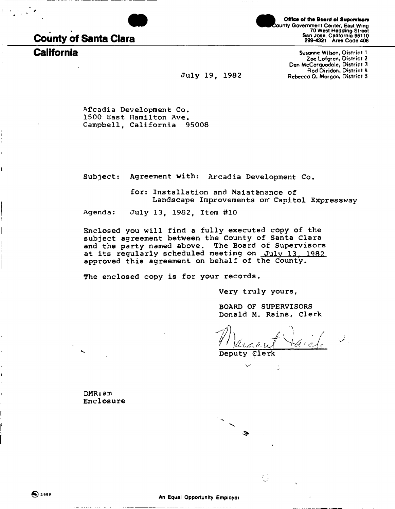

# **County of Santa Clara**

**Mice of the Board of Supervisors**<br> **County Government Center, East Wing Street** 70 West Hedding Street San Jose, California 95110 299-4321 Area Code 408

**California** Susanne Wilson, District I Zoe Lofgren, District 2 Dan McCorquodole, District 3 Rod Diridon, District 4 July 19, 1982 Rebecca Q. Morgan, District 5

Afcadia Development Co. 1500 East Hamilton Ave. Campbell, California 95008

Subject: Agreement with: Arcadia Development Co,

for: Installation and Maiatenance of Landscape Improvements on' Capitol Expressway

Agenda: July 13, 1982, Item #10

Enclosed you will find a fully executed copy of the subject agreement between the County of Santa Clara and the party named above. The Board of Supervisors at its regularly scheduled meeting on July 13, 1982 approved this agreement on behalf of the County.

The enclosed copy is for your records.

Very truly yours,

BOARD OF SUPERVISORS Donald M. Rains, Clerk

 $\mathbb{Z}^2$ 

Deputy Clerk

DMR:am Enclosure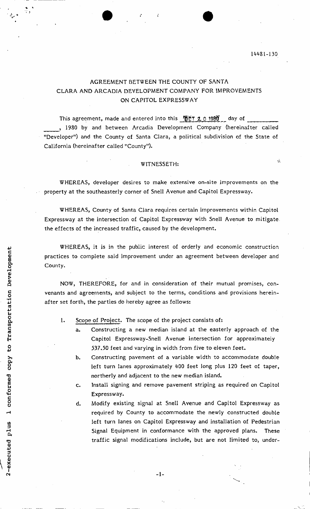Ġ.

# AGREEMENT BETWEEN THE COUNTY OF SANTA CLARA AND ARCADIA DEVELOPMENT COMPANY FOR IMPROVEMENTS ON CAPITOL EXPRESSWAY

This agreement, made and entered into this  $\sqrt{0.0720}$  0 1980  $\pm$  day of , 1980 by and between Arcadia Development Company (hereinafter called "Developer") and the County of Santa Clara, a political subdivision of the State of California (hereinafter called "County").

## WITNESSETH:

WHEREAS, developer desires to make extensive on-site improvements on the property at the southeasterly corner of Snell Avenue and Capitol Expressway.

WHEREAS, County of Santa Clara requires certain improvements within Capitol Expressway at the intersection of Capitol Expressway with Snell Avenue to mitigate, the effects of the increased traffic, caused by the development.

WHEREAS, it is in the public interest of orderly and economic construction practices to complete said improvement under an agreement between developer and County.

NOW, THEREFORE, for and in consideration of their mutual promises, convenants and agreements, and subject to the terms, conditions and provisions hereinafter set forth, the parties do hereby agree as follows:

- 1. Scope of Project. The scope of the project consists of:
	- a. Constructing a new median island at the easterly approach of the Capitol Expressway-Snell Avenue intersection for approximately 537.50 feet and varying in width from five to eleven feet.
	- b. Constructing pavement of a variable width to accommodate double left turn lanes approximately 400 feet long plus 120 feet of taper, northerly and adjacent to the new median island.
	- c. Install signing and remove pavement striping as required on Capitol Expressway.
	- d. Modify existing signal at Snell Avenue and Capitol Expressway as required by County to accommodate the newly constructed double left turn lanes on Capitol Expressway and installation of Pedestrian Signal Equipment in conformance with the approved plans. These traffic signal modifications include, but are not limited to, under-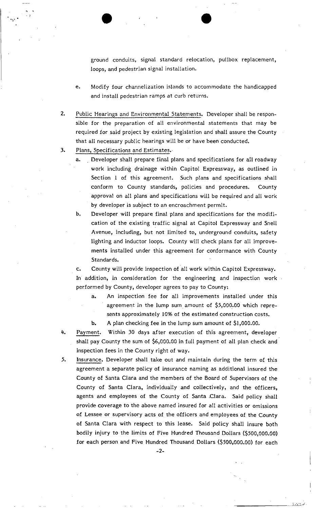ground conduits, signal standard relocation, pullbox replacement, loops, and pedestrian signal installation.

- e. Modify four channelization islands to accommodate the handicapped and install pedestrian ramps at curb returns.
- 2. Public Hearings and Environmental Statements. Developer shall be responsible for the preparation of all environmental statements that may be required for said project by existing legislation and shall assure the County that all necessary public hearings will be or have been conducted.
- 3. Plans, Specifications and Estimates.
	- a. Developer shall prepare final plans and specifications for ail roadway work including drainage within Capitol Expressway, as outlined in Section 1 of this agreement. Such plans and specifications shall conform to County standards, policies and procedures. County approval on all plans and specifications will be required and all work by developer is subject to an encroachment permit.
	- b. Developer will prepare final plans and specifications for the modification of the existing traffic signal at Capitol Expressway and Snell Avenue, including, but not limited to, underground conduits, safety lighting and inductor loops. County will check plans for all improvements installed under this agreement for conformance with County Standards.

c. County will provide inspection of all work within Capitol Expressway. In addition, in consideration for the engineering and inspection work performed by County, developer agrees to pay to County:

- a. An inspection fee for all improvements installed under this agreement in the lump sum amount of \$5,000.00 which represents approximately 10% of the estimated construction costs.
- b. A plan checking fee in the lump sum amount of \$1,000.00.
- 4. Payment. Within 30 days after execution of this agreement, developer shall pay County the sum of \$6,000.00 in full payment of all plan check and inspection fees in the County right of way.
- 5. Insurance. Developer shall take out and maintain during the term of this agreement a separate policy of insurance naming as additional insured the County of Santa Clara and the members of the Board of Supervisors of the County of Santa Clara, individually and collectively, and the officers, agents and employees of the County of Santa ,Clara. Said policy shall provide coverage to the above named insured for all activities or omissions of Lessee or supervisory acts of the officers and employees of the County of Santa Clara with respect to this lease. Said policy shall insure both bodily injury to the limits of Five Hundred Thousand Dollars (\$500,000.00) for each person and Five Hundred Thousand Dollars (\$500,000.00) for each

 $-2-$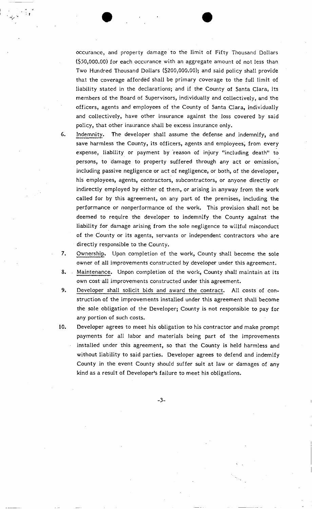occurance, and property damage to the limit of Fifty Thousand Dollars (\$50,000.00) for each occurance with an aggregate amount of not less than Two Hundred Thousand Dollars (\$200,000.00); and said policy shall provide that the coverage afforded shall be primary coverage to the full limit of liability stated in the declarations; and if the County of Santa Clara, its members of the Board of Supervisors, individually and collectively, and the officers, agents and employees of the County of Santa Clara, individually and collectively, have other insurance against the loss covered by said policy, that other insurance shall be excess insurance only.

- 6. Indemnity. The developer shall assume the defense and indemnify, and save harmless the County, its officers, agents and employees, from every expense, liability or payment by reason of injury "including death" to persons, to damage to property suffered through any act or omission, including passive negligence or act of negligence, or both, of the developer, his employees, agents, contractors, subcontractors, or anyone directly or indirectly employed by either of them, or arising in anyway from the work called for by this agreement, on any part of the premises, including the performance or nonperformance of the work. This provision shall not be deemed to require the developer to indemnify the County against the liability for damage arising from the sole negligence to willful misconduct of the County or its agents, servants or independent contractors who are directly responsible to the County.
- 7. Ownership. Upon completion of the work, County shall become the sole owner of all improvements constructed by developer under this agreement.
- 8. Maintenance. Unpon completion of the work, County shall maintain at its own cost-all improvements constructed under this agreement.
- 9. Developer shall solicit bids and award the contract. All costs of construction of the improvements installed under this agreement shall become the sole obligation of the Developer; County is not responsible to pay for any portion of such costs.
- 10. Developer agrees to meet his obligation to his contractor and make prompt payments for all labor and materials being part of the improvements installed under this agreement, so that the County is held harmless and without liability to said parties. Developer agrees to defend and indemify County in the event County should suffer suit at law or damages of any kind as a result of Developer's failure to meet his obligations.

 $-3-$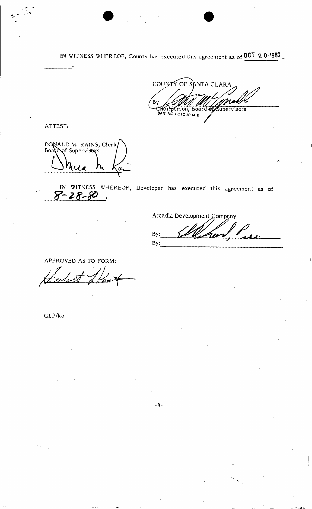IN WITNESS WHEREOF, County has executed this agreement as of **0CT 2 0 -1980 \_** 

COUNTY OF SANTA CLARA  $B<sub>0</sub>$ CHAIN DETSON, Board of Supervisors

ATTEST:

DONALD M. RAINS, Clerk<br>Board of Supervisors Q

**z**  IN WITNESS WHEREOF, Developer has executed this agreement as of

Arcadia Development Company By: By:

APPROVED AS TO FORM:

GLP/ko

 $-4-$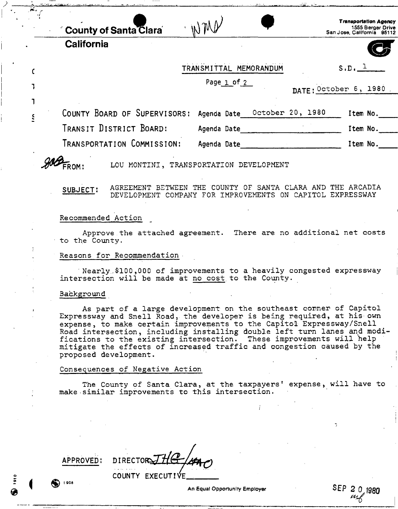**aclar a 'i W ^ County of Santa Clara** 

**California** 

**c** 

 $\mathbf{1}$ 

S

|                 | <b>Transportation Agency</b> |
|-----------------|------------------------------|
| ) M $\not\!\!V$ | 1555 Berger Drive            |
|                 | San Jose, California 95112   |

| TRANSMITTAL MEMORANDUM |  |  |
|------------------------|--|--|

. Page <u>1</u> of <u>2</u>

**DAT E I** October **6 , 198 0** 

 $S \cdot D \cdot \underline{\ }$ 

**<sup>C</sup>OUNTY BOARD<sup>O</sup> <sup>F</sup> SUPERVISORS:** Agenda Date **OCTOBE <sup>R</sup> 20, 1980** item **NO. \_ TRANSIT DISTRICT BOARD:** Agenda Date item No.\_

| Transportation Commission: |  | Agenda Date |  | Item No. |
|----------------------------|--|-------------|--|----------|
|----------------------------|--|-------------|--|----------|

 **LO U MONTINI , TRANSPORTATIO N DEVELOPMEN T** 

**SUBJECT**' AGREEMENT BETWEEN THE COUNTY OF SANTA CLARA AND THE ARCADIA ' DEVELOPMENT COMPANY FOR IMPROVEMENTS ON CAPITOL EXPRESSWAY

Recommended Action

Approve the attached agreement. There are no additional net costs to the County.

Reasons for Recommendation

Nearly.,\$100 ,000 of improvements to a heavily congested expressway intersection will be made at no cost,to the County.

#### Background

**^^FROM :**

As part of a large development on the southeast corner of Capitol Expressway and Snell Road, the developer is being required, at his' own expense, to make certain improvements to the Capitol Expressway/Snell Road intersection, including installing double left turn lanes and modifications to the existing intersection. These improvements will help mitigate the effects of increased traffic and congestion caused by the proposed development.

### Consequences of Negative Action

The County of Santa Clara, at the taxpayers' expense, will have to make-similar improvements to this intersection.

*- i ®<sup>1906</sup>*

 $APPROVED: DIRECTOR$ **2 COUNT Y EXECUTIVE ^** 

An Equal Opportunity Employer ^ ™ An Equal Opportunity Employer SE P *2*